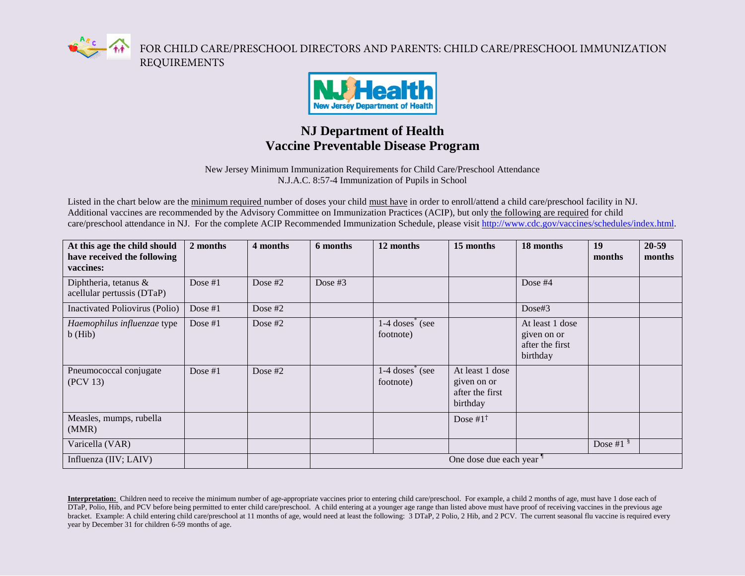

FOR CHILD CARE/PRESCHOOL DIRECTORS AND PARENTS: CHILD CARE/PRESCHOOL IMMUNIZATION REQUIREMENTS



## **NJ Department of Health Vaccine Preventable Disease Program**

New Jersey Minimum Immunization Requirements for Child Care/Preschool Attendance N.J.A.C. 8:57-4 Immunization of Pupils in School

Listed in the chart below are the minimum required number of doses your child must have in order to enroll/attend a child care/preschool facility in NJ. Additional vaccines are recommended by the Advisory Committee on Immunization Practices (ACIP), but only the following are required for child care/preschool attendance in NJ. For the complete ACIP Recommended Immunization Schedule, please visit [http://www.cdc.gov/vaccines/schedules/index.html.](http://www.cdc.gov/vaccines/schedules/index.html)

| At this age the child should<br>have received the following<br>vaccines: | 2 months  | 4 months  | 6 months  | 12 months                                                       | 15 months                                                     | 18 months                                                     | 19<br>months      | 20-59<br>months |
|--------------------------------------------------------------------------|-----------|-----------|-----------|-----------------------------------------------------------------|---------------------------------------------------------------|---------------------------------------------------------------|-------------------|-----------------|
| Diphtheria, tetanus &<br>acellular pertussis (DTaP)                      | Dose $#1$ | Dose $#2$ | Dose $#3$ |                                                                 |                                                               | Dose $#4$                                                     |                   |                 |
| Inactivated Poliovirus (Polio)                                           | Dose $#1$ | Dose $#2$ |           |                                                                 |                                                               | Dose#3                                                        |                   |                 |
| Haemophilus influenzae type<br>$b$ (Hib)                                 | Dose $#1$ | Dose $#2$ |           | $1-4$ doses <sup><math>\hat{ }</math></sup> (see<br>footnote)   |                                                               | At least 1 dose<br>given on or<br>after the first<br>birthday |                   |                 |
| Pneumococcal conjugate<br>(PCV 13)                                       | Dose $#1$ | Dose $#2$ |           | $1-4$ doses <sup><math>\check{ }</math></sup> (see<br>footnote) | At least 1 dose<br>given on or<br>after the first<br>birthday |                                                               |                   |                 |
| Measles, mumps, rubella<br>(MMR)                                         |           |           |           |                                                                 | Dose # $1^{\dagger}$                                          |                                                               |                   |                 |
| Varicella (VAR)                                                          |           |           |           |                                                                 |                                                               |                                                               | Dose #1 $\degree$ |                 |
| Influenza (IIV; LAIV)                                                    |           |           |           |                                                                 | One dose due each year                                        |                                                               |                   |                 |

**Interpretation:** Children need to receive the minimum number of age-appropriate vaccines prior to entering child care/preschool. For example, a child 2 months of age, must have 1 dose each of DTaP, Polio, Hib, and PCV before being permitted to enter child care/preschool. A child entering at a younger age range than listed above must have proof of receiving vaccines in the previous age bracket. Example: A child entering child care/preschool at 11 months of age, would need at least the following: 3 DTaP, 2 Polio, 2 Hib, and 2 PCV. The current seasonal flu vaccine is required every year by December 31 for children 6-59 months of age.